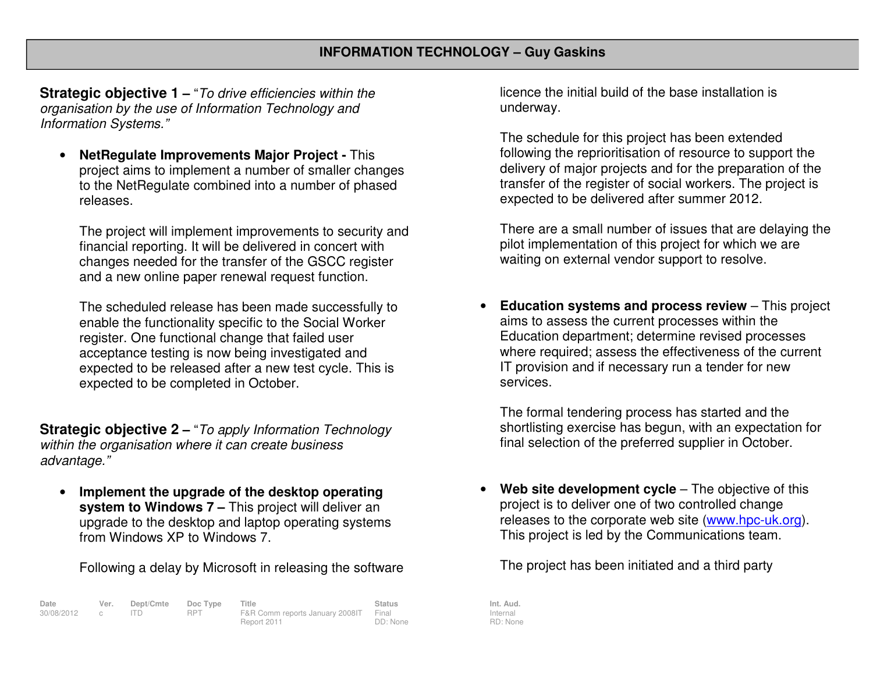**Strategic objective 1 –** "To drive efficiencies within the organisation by the use of Information Technology and Information Systems."

• **NetRegulate Improvements Major Project -** This project aims to implement a number of smaller changes to the NetRegulate combined into a number of phasedreleases.

The project will implement improvements to security and financial reporting. It will be delivered in concert with changes needed for the transfer of the GSCC register and a new online paper renewal request function.

The scheduled release has been made successfully toenable the functionality specific to the Social Worker register. One functional change that failed user acceptance testing is now being investigated and expected to be released after a new test cycle. This is expected to be completed in October.

**Strategic objective 2 –** "To apply Information Technology within the organisation where it can create business advantage."

• **Implement the upgrade of the desktop operating system to Windows 7 –** This project will deliver an upgrade to the desktop and laptop operating systemsfrom Windows XP to Windows 7.

Following a delay by Microsoft in releasing the software

| Date         | Ver. | Dept/Cmte Doc Type |            | Title                                 | <b>Status</b> | Int. Aud. |
|--------------|------|--------------------|------------|---------------------------------------|---------------|-----------|
| 30/08/2012 c |      |                    | <b>RPT</b> | F&R Comm reports January 2008IT Final |               | Internal  |
|              |      |                    |            | Report 2011                           | DD: None      | RD: Non   |

licence the initial build of the base installation is underway.

The schedule for this project has been extended following the reprioritisation of resource to support the delivery of major projects and for the preparation of the transfer of the register of social workers. The project is expected to be delivered after summer 2012.

There are a small number of issues that are delaying the pilot implementation of this project for which we are waiting on external vendor support to resolve.

• **Education systems and process review** – This project aims to assess the current processes within the Education department; determine revised processes where required; assess the effectiveness of the current IT provision and if necessary run a tender for new services.

The formal tendering process has started and the shortlisting exercise has begun, with an expectation for final selection of the preferred supplier in October.

•**Web site development cycle** – The objective of this project is to deliver one of two controlled change releases to the corporate web site (www.hpc-uk.org). This project is led by the Communications team.

The project has been initiated and a third party

Internal RD: None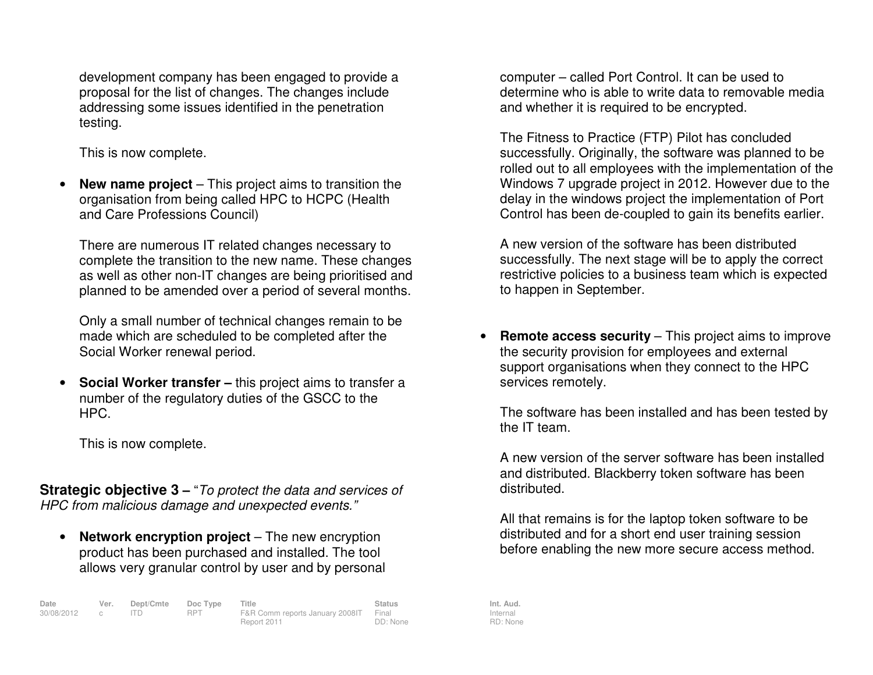development company has been engaged to provide a proposal for the list of changes. The changes include addressing some issues identified in the penetration testing.

This is now complete.

• **New name project** – This project aims to transition the organisation from being called HPC to HCPC (Health and Care Professions Council)

There are numerous IT related changes necessary to complete the transition to the new name. These changes as well as other non-IT changes are being prioritised and planned to be amended over a period of several months.

Only a small number of technical changes remain to be made which are scheduled to be completed after the Social Worker renewal period.

• **Social Worker transfer –** this project aims to transfer a number of the regulatory duties of the GSCC to the HPC.

This is now complete.

**Strategic objective 3** – "To protect the data and services of HPC from malicious damage and unexpected events."

• **Network encryption project** – The new encryption product has been purchased and installed. The tool allows very granular control by user and by personal

| Date         | Ver. | Dept/Cmte Doc Type |      | <b>Title</b>                          | <b>Status</b> | Int. Aud. |
|--------------|------|--------------------|------|---------------------------------------|---------------|-----------|
| 30/08/2012 c |      |                    | RPT. | F&R Comm reports January 2008IT Final |               | Internal  |
|              |      |                    |      | Report 2011                           | DD: None      | RD: Non   |

computer – called Port Control. It can be used to determine who is able to write data to removable media and whether it is required to be encrypted.

The Fitness to Practice (FTP) Pilot has concluded successfully. Originally, the software was planned to be rolled out to all employees with the implementation of the Windows 7 upgrade project in 2012. However due to the delay in the windows project the implementation of Port Control has been de-coupled to gain its benefits earlier.

A new version of the software has been distributed successfully. The next stage will be to apply the correct restrictive policies to a business team which is expected to happen in September.

• **Remote access security** – This project aims to improve the security provision for employees and external support organisations when they connect to the HPC services remotely.

The software has been installed and has been tested by the IT team.

A new version of the server software has been installed and distributed. Blackberry token software has beendistributed.

All that remains is for the laptop token software to be distributed and for a short end user training session before enabling the new more secure access method.

Internal RD: None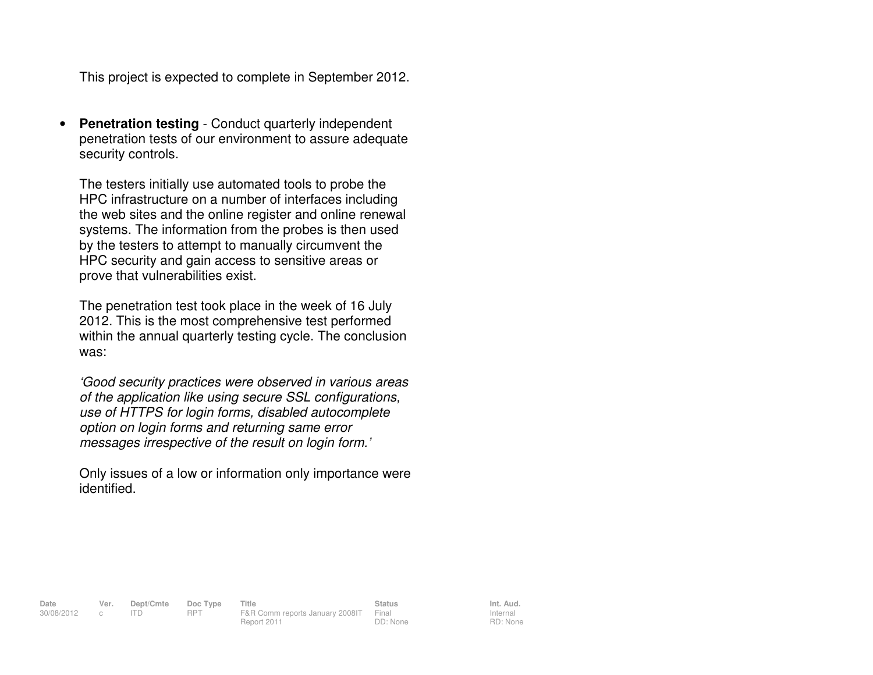This project is expected to complete in September 2012.

• **Penetration testing** - Conduct quarterly independent penetration tests of our environment to assure adequate security controls.

The testers initially use automated tools to probe the HPC infrastructure on a number of interfaces including the web sites and the online register and online renewal systems. The information from the probes is then used by the testers to attempt to manually circumvent the HPC security and gain access to sensitive areas or prove that vulnerabilities exist.

The penetration test took place in the week of 16 July 2012. This is the most comprehensive test performed within the annual quarterly testing cycle. The conclusion was:

'Good security practices were observed in various areas of the application like using secure SSL configurations, use of HTTPS for login forms, disabled autocompleteoption on login forms and returning same error messages irrespective of the result on login form.'

Only issues of a low or information only importance were identified.

Report 2011

**Date Ver. Dept/Cmte Doc Type Title Status Status Int. Aud.**<br>  $30/08/2012$  c ITD RPT F&R Comm reports January 2008 | Final Internal Internal 30/08/2012 c ITD RPT F&R Comm reports January 2008IT Final DD: None

Internal RD: None